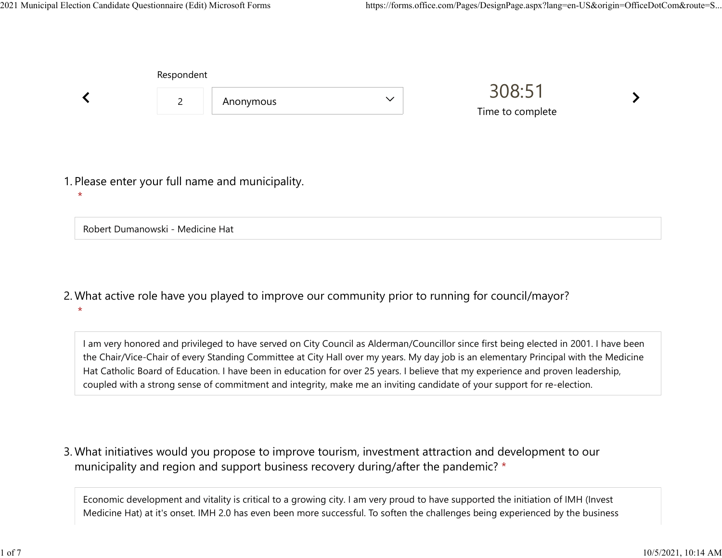|                                                  | Respondent     |           |              |                            |  |
|--------------------------------------------------|----------------|-----------|--------------|----------------------------|--|
|                                                  | $\overline{2}$ | Anonymous | $\checkmark$ | 308:51<br>Time to complete |  |
|                                                  |                |           |              |                            |  |
| 1. Please enter your full name and municipality. |                |           |              |                            |  |
| $\star$                                          |                |           |              |                            |  |
| Robert Dumanowski - Medicine Hat                 |                |           |              |                            |  |

What active role have you played to improve our community prior to running for council/mayor? 2. \*

I am very honored and privileged to have served on City Council as Alderman/Councillor since first being elected in 2001. I have been the Chair/Vice-Chair of every Standing Committee at City Hall over my years. My day job is an elementary Principal with the Medicine Hat Catholic Board of Education. I have been in education for over 25 years. I believe that my experience and proven leadership, coupled with a strong sense of commitment and integrity, make me an inviting candidate of your support for re-election.

What initiatives would you propose to improve tourism, investment attraction and development to our 3. municipality and region and support business recovery during/after the pandemic? \*

Economic development and vitality is critical to a growing city. I am very proud to have supported the initiation of IMH (Invest Medicine Hat) at it's onset. IMH 2.0 has even been more successful. To soften the challenges being experienced by the business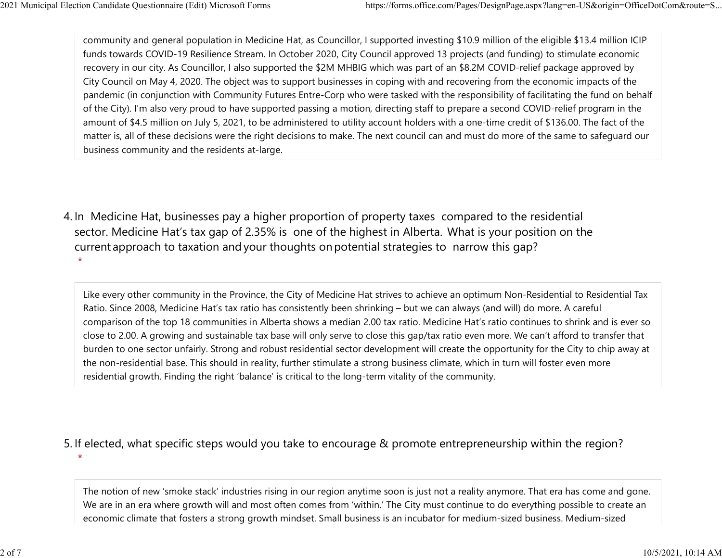community and general population in Medicine Hat, as Councillor, I supported investing \$10.9 million of the eligible \$13.4 million ICIP funds towards COVID-19 Resilience Stream. In October 2020, City Council approved 13 projects (and funding) to stimulate economic recovery in our city. As Councillor, I also supported the \$2M MHBIG which was part of an \$8.2M COVID-relief package approved by City Council on May 4, 2020. The object was to support businesses in coping with and recovering from the economic impacts of the pandemic (in conjunction with Community Futures Entre-Corp who were tasked with the responsibility of facilitating the fund on behalf of the City). I'm also very proud to have supported passing a motion, directing staff to prepare a second COVID-relief program in the amount of \$4.5 million on July 5, 2021, to be administered to utility account holders with a one-time credit of \$136.00. The fact of the matter is, all of these decisions were the right decisions to make. The next council can and must do more of the same to safeguard our business community and the residents at-large. 2021 Municipal Election Candidate Questionnaire (Edit) Microsoft Forms https://forms.office.com/Pages/DesignPage.aspx?lang=en-US&origin=OfficeDotCom&route=S...<br>
community and general population in Medicine Hat, as Councill

4. In Medicine Hat, businesses pay a higher proportion of property taxes compared to the residential sector.  Medicine Hat's tax gap of 2.35% is one of the highest in Alberta.  What is your position on the current approach to taxation and your thoughts on potential strategies to narrow this gap? \*

Like every other community in the Province, the City of Medicine Hat strives to achieve an optimum Non-Residential to Residential Tax Ratio. Since 2008, Medicine Hat's tax ratio has consistently been shrinking – but we can always (and will) do more. A careful comparison of the top 18 communities in Alberta shows a median 2.00 tax ratio. Medicine Hat's ratio continues to shrink and is ever so close to 2.00. A growing and sustainable tax base will only serve to close this gap/tax ratio even more. We can't afford to transfer that burden to one sector unfairly. Strong and robust residential sector development will create the opportunity for the City to chip away at the non-residential base. This should in reality, further stimulate a strong business climate, which in turn will foster even more residential growth. Finding the right 'balance' is critical to the long-term vitality of the community.

5. If elected, what specific steps would you take to encourage & promote entrepreneurship within the region?  $\star$ 

The notion of new 'smoke stack' industries rising in our region anytime soon is just not a reality anymore. That era has come and gone. We are in an era where growth will and most often comes from 'within.' The City must continue to do everything possible to create an economic climate that fosters a strong growth mindset. Small business is an incubator for medium-sized business. Medium-sized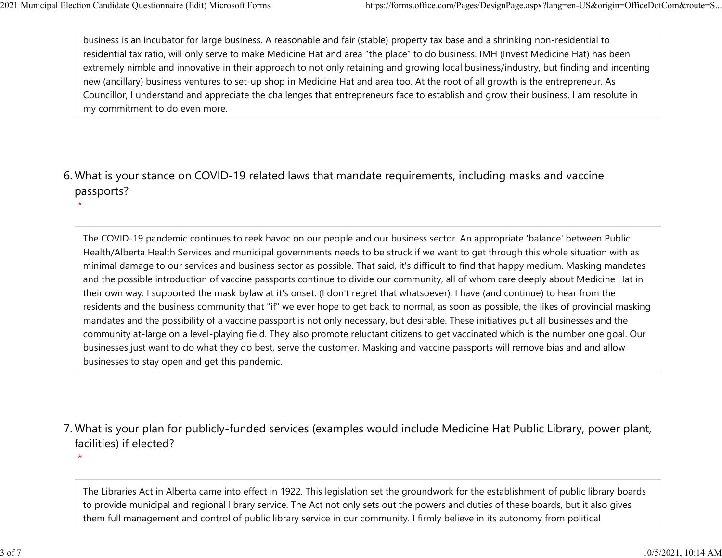$\star$ 

 $\star$ 

business is an incubator for large business. A reasonable and fair (stable) property tax base and a shrinking non-residential to residential tax ratio, will only serve to make Medicine Hat and area "the place" to do business. IMH (Invest Medicine Hat) has been extremely nimble and innovative in their approach to not only retaining and growing local business/industry, but finding and incenting new (ancillary) business ventures to set-up shop in Medicine Hat and area too. At the root of all growth is the entrepreneur. As Councillor, I understand and appreciate the challenges that entrepreneurs face to establish and grow their business. I am resolute in my commitment to do even more. 2021 Municipal Election Candidate Questionnaire (Edit) Microsoft Forms https://forms.office.com/Pages/DesignPage.aspx?lang=en-US&origin=OfficeDotCom&route=S...<br>
business is an incubator for large business. A reasonable and

## What is your stance on COVID-19 related laws that mandate requirements, including masks and vaccine 6. passports?

The COVID-19 pandemic continues to reek havoc on our people and our business sector. An appropriate 'balance' between Public Health/Alberta Health Services and municipal governments needs to be struck if we want to get through this whole situation with as minimal damage to our services and business sector as possible. That said, it's difficult to find that happy medium. Masking mandates and the possible introduction of vaccine passports continue to divide our community, all of whom care deeply about Medicine Hat in their own way. I supported the mask bylaw at it's onset. (I don't regret that whatsoever). I have (and continue) to hear from the residents and the business community that "if" we ever hope to get back to normal, as soon as possible, the likes of provincial masking mandates and the possibility of a vaccine passport is not only necessary, but desirable. These initiatives put all businesses and the community at-large on a level-playing field. They also promote reluctant citizens to get vaccinated which is the number one goal. Our businesses just want to do what they do best, serve the customer. Masking and vaccine passports will remove bias and and allow businesses to stay open and get this pandemic.

What is your plan for publicly-funded services (examples would include Medicine Hat Public Library, power plant, 7. facilities) if elected?

The Libraries Act in Alberta came into effect in 1922. This legislation set the groundwork for the establishment of public library boards to provide municipal and regional library service. The Act not only sets out the powers and duties of these boards, but it also gives them full management and control of public library service in our community. I firmly believe in its autonomy from political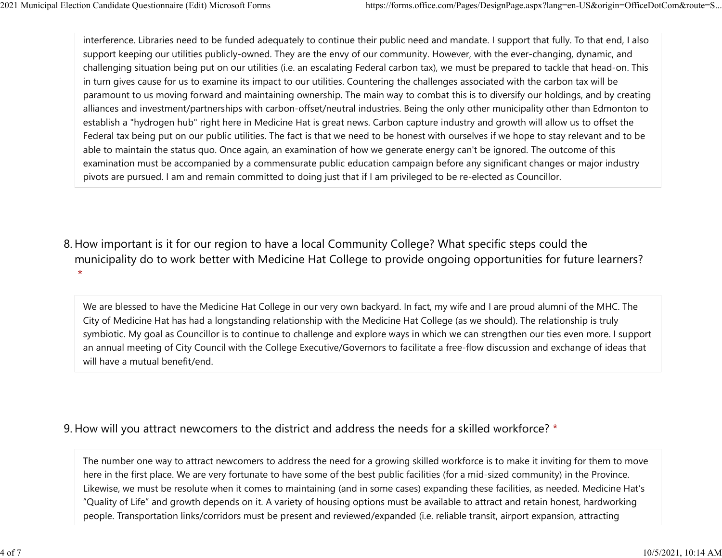interference. Libraries need to be funded adequately to continue their public need and mandate. I support that fully. To that end, I also support keeping our utilities publicly-owned. They are the envy of our community. However, with the ever-changing, dynamic, and challenging situation being put on our utilities (i.e. an escalating Federal carbon tax), we must be prepared to tackle that head-on. This in turn gives cause for us to examine its impact to our utilities. Countering the challenges associated with the carbon tax will be paramount to us moving forward and maintaining ownership. The main way to combat this is to diversify our holdings, and by creating alliances and investment/partnerships with carbon-offset/neutral industries. Being the only other municipality other than Edmonton to establish a "hydrogen hub" right here in Medicine Hat is great news. Carbon capture industry and growth will allow us to offset the Federal tax being put on our public utilities. The fact is that we need to be honest with ourselves if we hope to stay relevant and to be able to maintain the status quo. Once again, an examination of how we generate energy can't be ignored. The outcome of this examination must be accompanied by a commensurate public education campaign before any significant changes or major industry pivots are pursued. I am and remain committed to doing just that if I am privileged to be re-elected as Councillor. 2021 Municipal Election Candidate Questionnaire (Edit) Microsoft Forms https://forms.office.com/Pages/DesignPage.aspx?lang=en-US&origin=OfficeDotCom&route=S...<br>
interference. Libraries need to be funded adequately to conti

8. How important is it for our region to have a local Community College? What specific steps could the municipality do to work better with Medicine Hat College to provide ongoing opportunities for future learners?  $\star$ 

We are blessed to have the Medicine Hat College in our very own backyard. In fact, my wife and I are proud alumni of the MHC. The City of Medicine Hat has had a longstanding relationship with the Medicine Hat College (as we should). The relationship is truly symbiotic. My goal as Councillor is to continue to challenge and explore ways in which we can strengthen our ties even more. I support an annual meeting of City Council with the College Executive/Governors to facilitate a free-flow discussion and exchange of ideas that will have a mutual benefit/end.

## 9. How will you attract newcomers to the district and address the needs for a skilled workforce? \*

The number one way to attract newcomers to address the need for a growing skilled workforce is to make it inviting for them to move here in the first place. We are very fortunate to have some of the best public facilities (for a mid-sized community) in the Province. Likewise, we must be resolute when it comes to maintaining (and in some cases) expanding these facilities, as needed. Medicine Hat's "Quality of Life" and growth depends on it. A variety of housing options must be available to attract and retain honest, hardworking people. Transportation links/corridors must be present and reviewed/expanded (i.e. reliable transit, airport expansion, attracting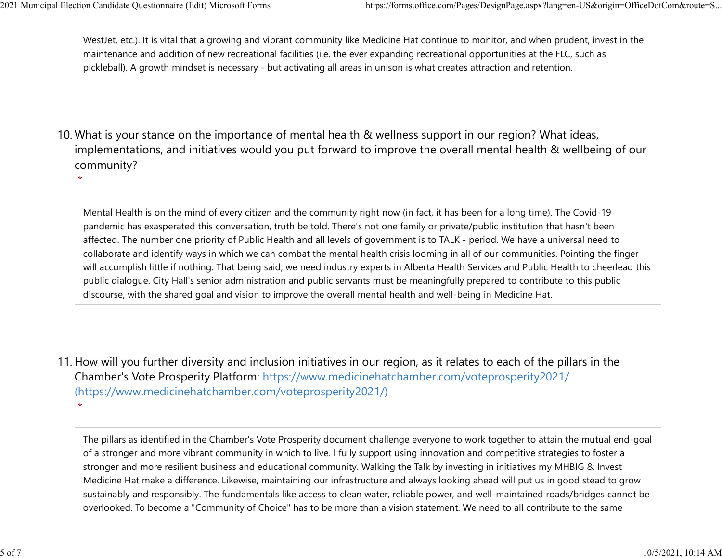WestJet, etc.). It is vital that a growing and vibrant community like Medicine Hat continue to monitor, and when prudent, invest in the maintenance and addition of new recreational facilities (i.e. the ever expanding recreational opportunities at the FLC, such as pickleball). A growth mindset is necessary - but activating all areas in unison is what creates attraction and retention. 2021 Municipal Election Candidate Questionnaire (Edit) Microsoft Forms https://forms.office.com/Pages/DesignPage.aspx?lang=en-US&origin=OfficeDotCom&route=S...<br>WestJet, etc.). It is vital that a growing and vibrant communi

10. What is your stance on the importance of mental health & wellness support in our region? What ideas, implementations, and initiatives would you put forward to improve the overall mental health & wellbeing of our community?

\*

Mental Health is on the mind of every citizen and the community right now (in fact, it has been for a long time). The Covid-19 pandemic has exasperated this conversation, truth be told. There's not one family or private/public institution that hasn't been affected. The number one priority of Public Health and all levels of government is to TALK - period. We have a universal need to collaborate and identify ways in which we can combat the mental health crisis looming in all of our communities. Pointing the finger will accomplish little if nothing. That being said, we need industry experts in Alberta Health Services and Public Health to cheerlead this public dialogue. City Hall's senior administration and public servants must be meaningfully prepared to contribute to this public discourse, with the shared goal and vision to improve the overall mental health and well-being in Medicine Hat.

11. How will you further diversity and inclusion initiatives in our region, as it relates to each of the pillars in the Chamber's Vote Prosperity Platform: https://www.medicinehatchamber.com/voteprosperity2021/ (https://www.medicinehatchamber.com/voteprosperity2021/)  $\star$ 

The pillars as identified in the Chamber's Vote Prosperity document challenge everyone to work together to attain the mutual end-goal of a stronger and more vibrant community in which to live. I fully support using innovation and competitive strategies to foster a stronger and more resilient business and educational community. Walking the Talk by investing in initiatives my MHBIG & Invest Medicine Hat make a difference. Likewise, maintaining our infrastructure and always looking ahead will put us in good stead to grow sustainably and responsibly. The fundamentals like access to clean water, reliable power, and well-maintained roads/bridges cannot be overlooked. To become a "Community of Choice" has to be more than a vision statement. We need to all contribute to the same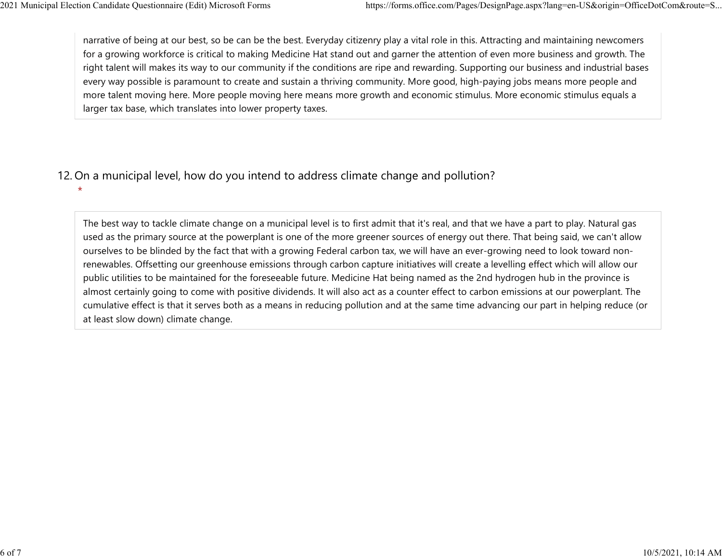narrative of being at our best, so be can be the best. Everyday citizenry play a vital role in this. Attracting and maintaining newcomers for a growing workforce is critical to making Medicine Hat stand out and garner the attention of even more business and growth. The right talent will makes its way to our community if the conditions are ripe and rewarding. Supporting our business and industrial bases every way possible is paramount to create and sustain a thriving community. More good, high-paying jobs means more people and more talent moving here. More people moving here means more growth and economic stimulus. More economic stimulus equals a larger tax base, which translates into lower property taxes. 2021 Municipal Election Candidate Questionnaire (Edit) Microsoft Forms https://forms.office.com/Pages/DesignPage.aspx?lang=en-US&origin=OfficeDotCom&route=S...<br>
narrative of being at our best, so be can be the best. Everyd

## 12. On a municipal level, how do you intend to address climate change and pollution?

 $\star$ 

The best way to tackle climate change on a municipal level is to first admit that it's real, and that we have a part to play. Natural gas used as the primary source at the powerplant is one of the more greener sources of energy out there. That being said, we can't allow ourselves to be blinded by the fact that with a growing Federal carbon tax, we will have an ever-growing need to look toward nonrenewables. Offsetting our greenhouse emissions through carbon capture initiatives will create a levelling effect which will allow our public utilities to be maintained for the foreseeable future. Medicine Hat being named as the 2nd hydrogen hub in the province is almost certainly going to come with positive dividends. It will also act as a counter effect to carbon emissions at our powerplant. The cumulative effect is that it serves both as a means in reducing pollution and at the same time advancing our part in helping reduce (or at least slow down) climate change.